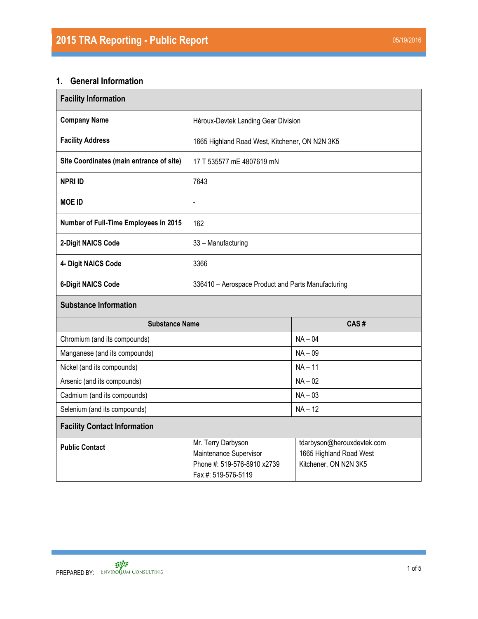## **1. General Information**

| <b>Facility Information</b>              |                                                                                                    |                                                                                |  |  |  |  |  |
|------------------------------------------|----------------------------------------------------------------------------------------------------|--------------------------------------------------------------------------------|--|--|--|--|--|
| <b>Company Name</b>                      | Héroux-Devtek Landing Gear Division                                                                |                                                                                |  |  |  |  |  |
| <b>Facility Address</b>                  | 1665 Highland Road West, Kitchener, ON N2N 3K5                                                     |                                                                                |  |  |  |  |  |
| Site Coordinates (main entrance of site) | 17 T 535577 mE 4807619 mN                                                                          |                                                                                |  |  |  |  |  |
| <b>NPRI ID</b>                           | 7643                                                                                               |                                                                                |  |  |  |  |  |
| <b>MOE ID</b>                            | $\blacksquare$                                                                                     |                                                                                |  |  |  |  |  |
| Number of Full-Time Employees in 2015    | 162                                                                                                |                                                                                |  |  |  |  |  |
| 2-Digit NAICS Code                       | 33 - Manufacturing                                                                                 |                                                                                |  |  |  |  |  |
| 4- Digit NAICS Code                      | 3366                                                                                               |                                                                                |  |  |  |  |  |
| <b>6-Digit NAICS Code</b>                | 336410 - Aerospace Product and Parts Manufacturing                                                 |                                                                                |  |  |  |  |  |
| <b>Substance Information</b>             |                                                                                                    |                                                                                |  |  |  |  |  |
| <b>Substance Name</b>                    |                                                                                                    | CAS#                                                                           |  |  |  |  |  |
| Chromium (and its compounds)             |                                                                                                    | $NA - 04$                                                                      |  |  |  |  |  |
| Manganese (and its compounds)            |                                                                                                    | $NA - 09$                                                                      |  |  |  |  |  |
| Nickel (and its compounds)               |                                                                                                    | $NA - 11$                                                                      |  |  |  |  |  |
| Arsenic (and its compounds)              |                                                                                                    | $NA - 02$                                                                      |  |  |  |  |  |
| Cadmium (and its compounds)              |                                                                                                    | $NA - 03$                                                                      |  |  |  |  |  |
| Selenium (and its compounds)             |                                                                                                    | $NA - 12$                                                                      |  |  |  |  |  |
| <b>Facility Contact Information</b>      |                                                                                                    |                                                                                |  |  |  |  |  |
| <b>Public Contact</b>                    | Mr. Terry Darbyson<br>Maintenance Supervisor<br>Phone #: 519-576-8910 x2739<br>Fax #: 519-576-5119 | tdarbyson@herouxdevtek.com<br>1665 Highland Road West<br>Kitchener, ON N2N 3K5 |  |  |  |  |  |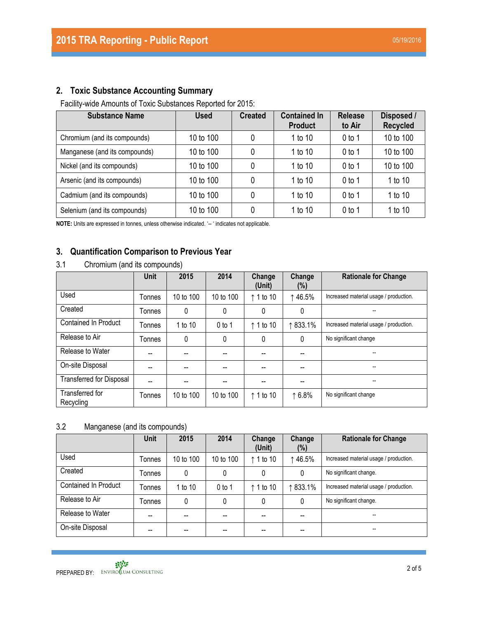## **2. Toxic Substance Accounting Summary**

Facility-wide Amounts of Toxic Substances Reported for 2015:

| <b>Substance Name</b>         | <b>Used</b> | <b>Created</b> | <b>Contained In</b><br><b>Product</b> | <b>Release</b><br>to Air | Disposed /<br><b>Recycled</b> |
|-------------------------------|-------------|----------------|---------------------------------------|--------------------------|-------------------------------|
| Chromium (and its compounds)  | 10 to 100   | 0              | 1 to 10                               | $0$ to 1                 | 10 to 100                     |
| Manganese (and its compounds) | 10 to 100   | 0              | 1 to 10                               | $0$ to 1                 | 10 to 100                     |
| Nickel (and its compounds)    | 10 to 100   | 0              | 1 to 10                               | $0$ to 1                 | 10 to 100                     |
| Arsenic (and its compounds)   | 10 to 100   | 0              | 1 to 10                               | 0 <sub>to 1</sub>        | 1 to 10                       |
| Cadmium (and its compounds)   | 10 to 100   | 0              | 1 to 10                               | $0$ to 1                 | 1 to 10                       |
| Selenium (and its compounds)  | 10 to 100   | 0              | 1 to 10                               | $0$ to 1                 | 1 to 10                       |

**NOTE:** Units are expressed in tonnes, unless otherwise indicated. '-- ' indicates not applicable.

#### **3. Quantification Comparison to Previous Year**

3.1 Chromium (and its compounds)

|                                 | <b>Unit</b> | 2015      | 2014      | Change<br>(Unit)   | Change<br>$(\%)$ | <b>Rationale for Change</b>            |
|---------------------------------|-------------|-----------|-----------|--------------------|------------------|----------------------------------------|
| Used                            | Tonnes      | 10 to 100 | 10 to 100 | $\uparrow$ 1 to 10 | ↑46.5%           | Increased material usage / production. |
| Created                         | Tonnes      | 0         | 0         | 0                  | 0                |                                        |
| <b>Contained In Product</b>     | Tonnes      | 1 to 10   | $0$ to 1  | ↑ 1 to 10          | ↑833.1%          | Increased material usage / production. |
| Release to Air                  | Tonnes      | 0         | 0         | 0                  | 0                | No significant change                  |
| Release to Water                | --          |           |           |                    |                  | $\overline{\phantom{a}}$               |
| On-site Disposal                | --          | --        | --        |                    |                  | --                                     |
| <b>Transferred for Disposal</b> | --          | --        | --        |                    | --               | --                                     |
| Transferred for<br>Recycling    | Tonnes      | 10 to 100 | 10 to 100 | ↑ 1 to 10          | $\uparrow 6.8\%$ | No significant change                  |

#### 3.2 Manganese (and its compounds)

|                      | <b>Unit</b> | 2015      | 2014      | Change<br>(Unit) | Change<br>$(\%)$ | <b>Rationale for Change</b>            |
|----------------------|-------------|-----------|-----------|------------------|------------------|----------------------------------------|
| Used                 | Tonnes      | 10 to 100 | 10 to 100 | ↑ 1 to 10        | ↑46.5%           | Increased material usage / production. |
| Created              | Tonnes      | 0         | 0         | 0                | 0                | No significant change.                 |
| Contained In Product | Tonnes      | 1 to 10   | $0$ to 1  | ↑ 1 to 10        | 833.1%           | Increased material usage / production. |
| Release to Air       | Tonnes      | 0         | 0         | 0                | 0                | No significant change.                 |
| Release to Water     | --          | --        | --        |                  |                  | $\overline{\phantom{a}}$               |
| On-site Disposal     | --          | --        | --        |                  |                  | --                                     |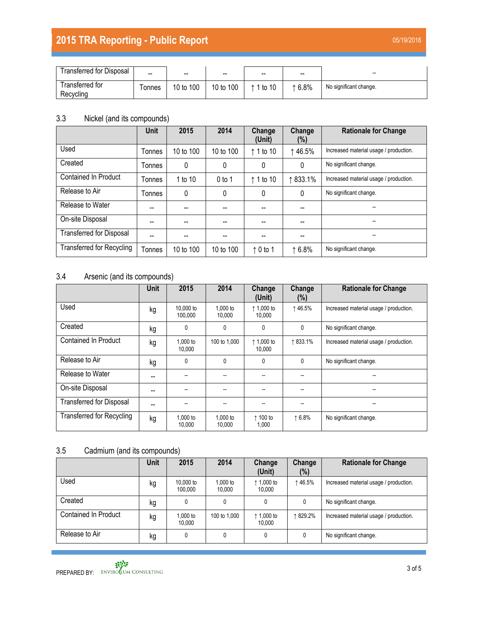# **2015 TRA Reporting - Public Report** 05/19/2016

| <b>Transferred for Disposal</b> | --    | --        | $- -$        | $\overline{\phantom{a}}$ | $\overline{\phantom{a}}$ | --                     |
|---------------------------------|-------|-----------|--------------|--------------------------|--------------------------|------------------------|
| Transferred for<br>Recycling    | onnes | 10 to 100 | 100<br>10 to | 1 to 10                  | 6.8%                     | No significant change. |

## 3.3 Nickel (and its compounds)

|                                  | <b>Unit</b>   | 2015      | 2014      | Change<br>(Unit)   | Change<br>$(\%)$ | <b>Rationale for Change</b>            |
|----------------------------------|---------------|-----------|-----------|--------------------|------------------|----------------------------------------|
| Used                             | Tonnes        | 10 to 100 | 10 to 100 | $\uparrow$ 1 to 10 | ↑46.5%           | Increased material usage / production. |
| Created                          | Tonnes        | 0         | 0         | 0                  | $\mathbf{0}$     | No significant change.                 |
| <b>Contained In Product</b>      | Tonnes        | 1 to 10   | $0$ to 1  | $\uparrow$ 1 to 10 | ↑833.1%          | Increased material usage / production. |
| Release to Air                   | <b>Tonnes</b> | 0         | 0         | $\mathbf{0}$       | $\mathbf{0}$     | No significant change.                 |
| Release to Water                 | --            | --        |           |                    |                  |                                        |
| On-site Disposal                 | --            | --        |           |                    |                  | --                                     |
| <b>Transferred for Disposal</b>  |               |           |           |                    |                  | --                                     |
| <b>Transferred for Recycling</b> | Tonnes        | 10 to 100 | 10 to 100 | $\uparrow$ 0 to 1  | 16.8%            | No significant change.                 |

### 3.4 Arsenic (and its compounds)

|                                  | <b>Unit</b> | 2015                 | 2014               | Change<br>(Unit)              | Change<br>$(\%)$ | <b>Rationale for Change</b>            |
|----------------------------------|-------------|----------------------|--------------------|-------------------------------|------------------|----------------------------------------|
| Used                             | kg          | 10,000 to<br>100.000 | 1.000 to<br>10.000 | ↑ 1,000 to<br>10.000          | ↑46.5%           | Increased material usage / production. |
| Created                          | kg          | 0                    | 0                  | $\mathbf{0}$                  | 0                | No significant change.                 |
| <b>Contained In Product</b>      | kg          | 1,000 to<br>10.000   | 100 to 1,000       | $\uparrow$ 1,000 to<br>10,000 | ↑833.1%          | Increased material usage / production. |
| Release to Air                   | kg          | 0                    | 0                  | $\mathbf{0}$                  | 0                | No significant change.                 |
| Release to Water                 | --          |                      | --                 |                               |                  |                                        |
| On-site Disposal                 | --          |                      | --                 |                               |                  | --                                     |
| <b>Transferred for Disposal</b>  | --          |                      | --                 |                               |                  |                                        |
| <b>Transferred for Recycling</b> | kg          | 1,000 to<br>10.000   | 1,000 to<br>10,000 | ↑ 100 to<br>1,000             | ↑6.8%            | No significant change.                 |

### 3.5 Cadmium (and its compounds)

|                             | <b>Unit</b> | 2015                 | 2014               | Change<br>(Unit)     | Change<br>$(\% )$ | <b>Rationale for Change</b>            |
|-----------------------------|-------------|----------------------|--------------------|----------------------|-------------------|----------------------------------------|
| Used                        | kg          | 10.000 to<br>100.000 | 1.000 to<br>10.000 | ↑ 1,000 to<br>10.000 | ↑46.5%            | Increased material usage / production. |
| Created                     | kg          | 0                    |                    | 0                    | 0                 | No significant change.                 |
| <b>Contained In Product</b> | kg          | 1,000 to<br>10.000   | 100 to 1,000       | ↑ 1,000 to<br>10.000 | ↑ 829.2%          | Increased material usage / production. |
| Release to Air              | kg          | 0                    | 0                  | 0                    |                   | No significant change.                 |

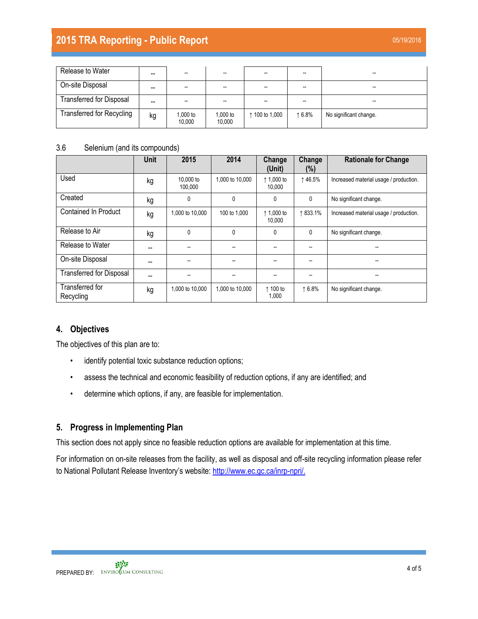## **2015 TRA Reporting - Public Report 120 August 2015 TRA Report** 05/19/2016

| Release to Water                 | -- | --                 | --                 |                |       | --                       |
|----------------------------------|----|--------------------|--------------------|----------------|-------|--------------------------|
| On-site Disposal                 | -- |                    |                    | --             |       | --                       |
| <b>Transferred for Disposal</b>  | -- |                    |                    | --             |       | $\overline{\phantom{a}}$ |
| <b>Transferred for Recycling</b> | kg | 1,000 to<br>10,000 | 1,000 to<br>10,000 | ↑ 100 to 1,000 | 16.8% | No significant change.   |

#### 3.6 Selenium (and its compounds)

|                                 | <b>Unit</b> | 2015                 | 2014            | Change<br>(Unit)              | Change<br>(%) | <b>Rationale for Change</b>            |
|---------------------------------|-------------|----------------------|-----------------|-------------------------------|---------------|----------------------------------------|
| Used                            | kg          | 10,000 to<br>100,000 | 1,000 to 10,000 | $\uparrow$ 1,000 to<br>10,000 | ↑46.5%        | Increased material usage / production. |
| Created                         | kg          | 0                    | $\mathbf{0}$    | $\mathbf{0}$                  | 0             | No significant change.                 |
| <b>Contained In Product</b>     | kg          | 1,000 to 10,000      | 100 to 1,000    | ↑ 1,000 to<br>10.000          | ↑833.1%       | Increased material usage / production. |
| Release to Air                  | kg          | $\Omega$             | $\mathbf{0}$    | 0                             | 0             | No significant change.                 |
| Release to Water                | --          | --                   | --              | --                            | --            |                                        |
| On-site Disposal                |             |                      | --              | --                            | --            |                                        |
| <b>Transferred for Disposal</b> |             | --                   |                 | --                            | --            |                                        |
| Transferred for<br>Recycling    | kg          | 1.000 to 10.000      | 1,000 to 10,000 | ↑ 100 to<br>1,000             | ↑6.8%         | No significant change.                 |

#### **4. Objectives**

The objectives of this plan are to:

- identify potential toxic substance reduction options;
- assess the technical and economic feasibility of reduction options, if any are identified; and
- determine which options, if any, are feasible for implementation.

#### **5. Progress in Implementing Plan**

This section does not apply since no feasible reduction options are available for implementation at this time.

For information on on-site releases from the facility, as well as disposal and off-site recycling information please refer to National Pollutant Release Inventory's website: [http://www.ec.gc.ca/inrp-npri/.](http://www.ec.gc.ca/inrp-npri/)